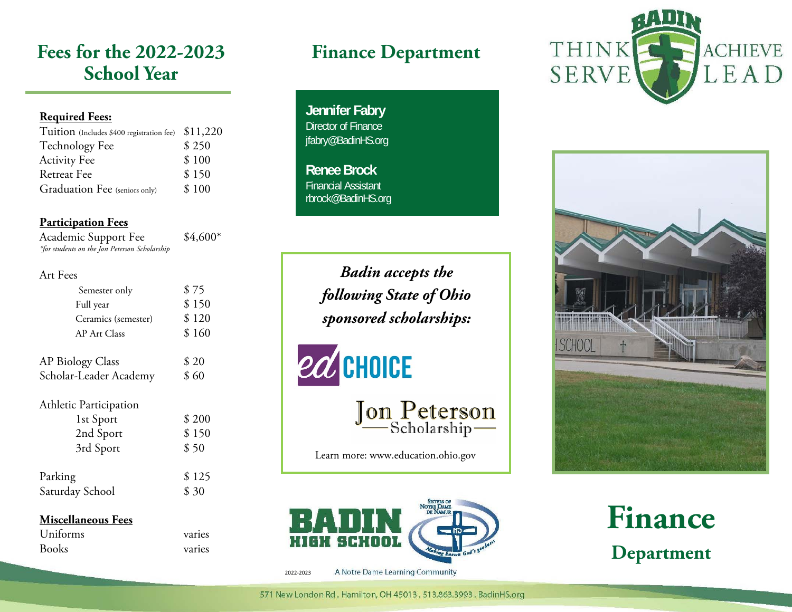# **Fees for the 2022-2023 School Year**

### **Required Fees:**

| Tuition (Includes \$400 registration fee) \$11,220 |
|----------------------------------------------------|
| \$250                                              |
| \$100                                              |
| \$150                                              |
| \$100                                              |
|                                                    |

### **Participation Fees**

Academic Support Fee  $$4,600*$ *\*for students on the Jon Peterson Scholarship* 

#### Art Fees

| Semester only              | \$75           |
|----------------------------|----------------|
| Full year                  | \$150          |
| Ceramics (semester)        | \$120          |
| <b>AP Art Class</b>        | \$160          |
|                            |                |
| <b>AP Biology Class</b>    | \$20           |
| Scholar-Leader Academy     | \$60           |
| Athletic Participation     |                |
| 1st Sport                  | \$200          |
| 2nd Sport                  | \$150          |
| 3rd Sport                  | \$50           |
| Parking<br>Saturday School | \$125<br>\$ 30 |

#### **Miscellaneous Fees**

| Uniforms     | varies |
|--------------|--------|
| <b>Books</b> | varies |

# **Finance Department**

**Jennifer Fabry**  Director of Finance jfabry@BadinHS.org

**Renee Brock** Financial Assistant rbrock@BadinHS.org

> *Badin accepts the following State of Ohio sponsored scholarships:*

# ed CHOICE

Jon Peterson

Learn more: www.education.ohio.gov



A Notre Dame Learning Community 2022‐2023





**Finance Department**